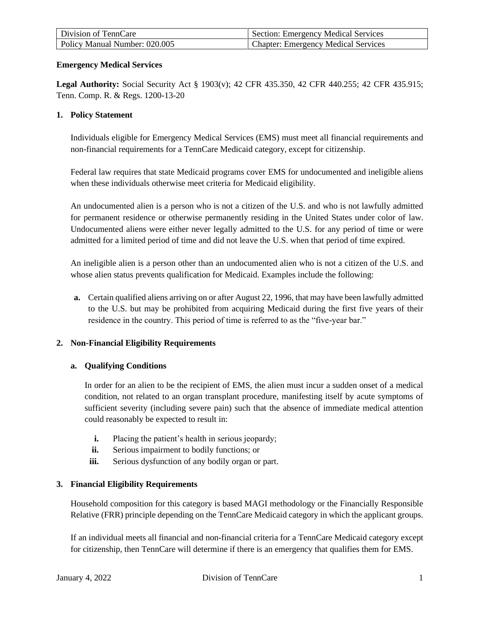| Division of TennCare          | Section: Emergency Medical Services        |
|-------------------------------|--------------------------------------------|
| Policy Manual Number: 020.005 | <b>Chapter: Emergency Medical Services</b> |

# **Emergency Medical Services**

**Legal Authority:** Social Security Act § 1903(v); 42 CFR 435.350, 42 CFR 440.255; 42 CFR 435.915; Tenn. Comp. R. & Regs. 1200-13-20

### **1. Policy Statement**

Individuals eligible for Emergency Medical Services (EMS) must meet all financial requirements and non-financial requirements for a TennCare Medicaid category, except for citizenship.

Federal law requires that state Medicaid programs cover EMS for undocumented and ineligible aliens when these individuals otherwise meet criteria for Medicaid eligibility.

An undocumented alien is a person who is not a citizen of the U.S. and who is not lawfully admitted for permanent residence or otherwise permanently residing in the United States under color of law. Undocumented aliens were either never legally admitted to the U.S. for any period of time or were admitted for a limited period of time and did not leave the U.S. when that period of time expired.

An ineligible alien is a person other than an undocumented alien who is not a citizen of the U.S. and whose alien status prevents qualification for Medicaid. Examples include the following:

**a.** Certain qualified aliens arriving on or after August 22, 1996, that may have been lawfully admitted to the U.S. but may be prohibited from acquiring Medicaid during the first five years of their residence in the country. This period of time is referred to as the "five-year bar."

# **2. Non-Financial Eligibility Requirements**

#### **a. Qualifying Conditions**

In order for an alien to be the recipient of EMS, the alien must incur a sudden onset of a medical condition, not related to an organ transplant procedure, manifesting itself by acute symptoms of sufficient severity (including severe pain) such that the absence of immediate medical attention could reasonably be expected to result in:

- **i.** Placing the patient's health in serious jeopardy;
- **ii.** Serious impairment to bodily functions; or
- iii. Serious dysfunction of any bodily organ or part.

# **3. Financial Eligibility Requirements**

Household composition for this category is based MAGI methodology or the Financially Responsible Relative (FRR) principle depending on the TennCare Medicaid category in which the applicant groups.

If an individual meets all financial and non-financial criteria for a TennCare Medicaid category except for citizenship, then TennCare will determine if there is an emergency that qualifies them for EMS.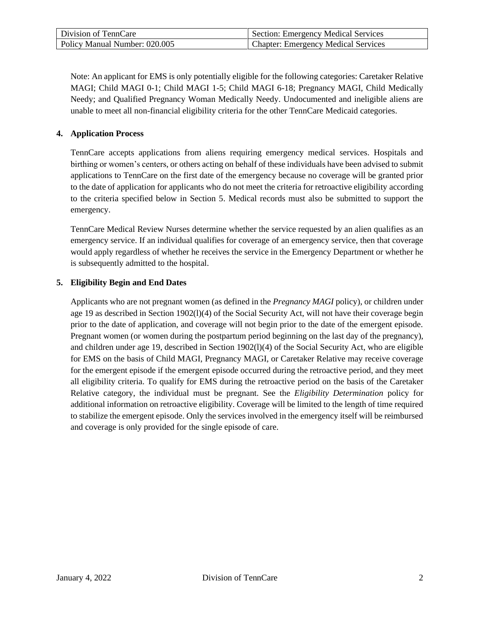| Division of TennCare          | Section: Emergency Medical Services        |
|-------------------------------|--------------------------------------------|
| Policy Manual Number: 020.005 | <b>Chapter: Emergency Medical Services</b> |

Note: An applicant for EMS is only potentially eligible for the following categories: Caretaker Relative MAGI; Child MAGI 0-1; Child MAGI 1-5; Child MAGI 6-18; Pregnancy MAGI, Child Medically Needy; and Qualified Pregnancy Woman Medically Needy. Undocumented and ineligible aliens are unable to meet all non-financial eligibility criteria for the other TennCare Medicaid categories.

# **4. Application Process**

TennCare accepts applications from aliens requiring emergency medical services. Hospitals and birthing or women's centers, or others acting on behalf of these individuals have been advised to submit applications to TennCare on the first date of the emergency because no coverage will be granted prior to the date of application for applicants who do not meet the criteria for retroactive eligibility according to the criteria specified below in Section 5. Medical records must also be submitted to support the emergency.

TennCare Medical Review Nurses determine whether the service requested by an alien qualifies as an emergency service. If an individual qualifies for coverage of an emergency service, then that coverage would apply regardless of whether he receives the service in the Emergency Department or whether he is subsequently admitted to the hospital.

# **5. Eligibility Begin and End Dates**

Applicants who are not pregnant women (as defined in the *Pregnancy MAGI* policy), or children under age 19 as described in Section 1902(l)(4) of the Social Security Act, will not have their coverage begin prior to the date of application, and coverage will not begin prior to the date of the emergent episode. Pregnant women (or women during the postpartum period beginning on the last day of the pregnancy), and children under age 19, described in Section 1902(l)(4) of the Social Security Act, who are eligible for EMS on the basis of Child MAGI, Pregnancy MAGI, or Caretaker Relative may receive coverage for the emergent episode if the emergent episode occurred during the retroactive period, and they meet all eligibility criteria. To qualify for EMS during the retroactive period on the basis of the Caretaker Relative category, the individual must be pregnant. See the *Eligibility Determination* policy for additional information on retroactive eligibility. Coverage will be limited to the length of time required to stabilize the emergent episode. Only the services involved in the emergency itself will be reimbursed and coverage is only provided for the single episode of care.